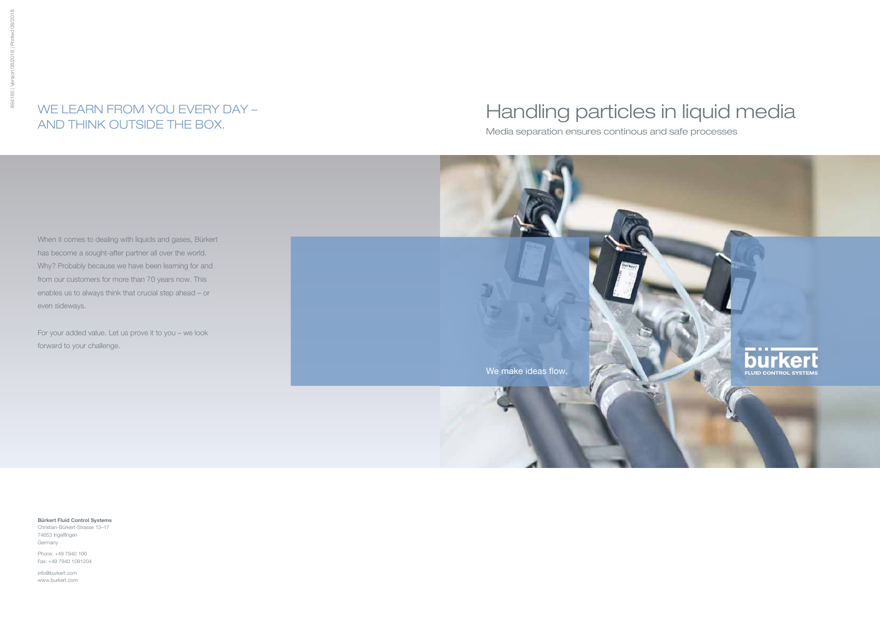# Handling particles in liquid media

Media separation ensures continous and safe processes

When it comes to dealing with liquids and gases, Bürkert has become a sought-after partner all over the world. Why? Probably because we have been learning for and from our customers for more than 70 years now. This enables us to always think that crucial step ahead – or even sideways.

For your added value. Let us prove it to you – we look forward to your challenge.

## WE LEARN FROM YOU EVERY DAY – AND THINK OUTSIDE THE BOX.

Bürkert Fluid Control Systems Christian-Bürkert-Strasse 13–17

74653 Ingelfingen Germany

Phone: +49 7940 100 Fax: +49 7940 1091204

info@burkert.com www.burkert.com

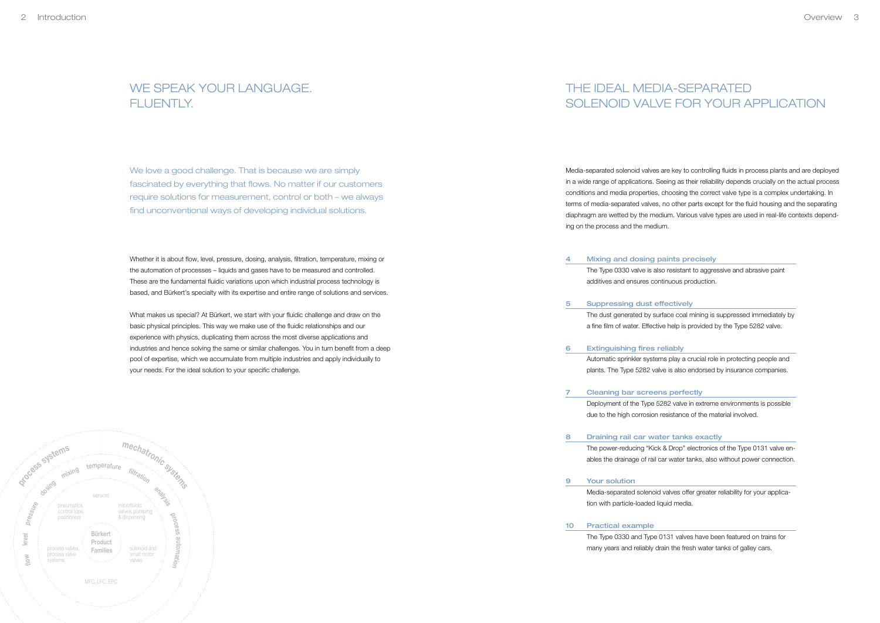## The ideal media-separated solenoid valve for your application

Media-separated solenoid valves are key to controlling fluids in process plants and are deployed in a wide range of applications. Seeing as their reliability depends crucially on the actual process conditions and media properties, choosing the correct valve type is a complex undertaking. In terms of media-separated valves, no other parts except for the fluid housing and the separating diaphragm are wetted by the medium. Various valve types are used in real-life contexts depending on the process and the medium.

The Type 0330 valve is also resistant to aggressive and abrasive paint

Deployment of the Type 5282 valve in extreme environments is possible due to the high corrosion resistance of the material involved.

## WE SPEAK YOUR LANGUAGE. FLUENTLY

The power-reducing "Kick & Drop" electronics of the Type 0131 valve enables the drainage of rail car water tanks, also without power connection.

We love a good challenge. That is because we are simply fascinated by everything that flows. No matter if our customers require solutions for measurement, control or both – we always find unconventional ways of developing individual solutions.

> Media-separated solenoid valves offer greater reliability for your application with particle-loaded liquid media.

- Mixing and dosing paints precisely additives and ensures continuous production. 4
- Suppressing dust effectively 5
- Extinguishing fires reliably 6
- Cleaning bar screens perfectly 7
	- Draining rail car water tanks exactly
- Your solution 9

10 Practical example

The Type 0330 and Type 0131 valves have been featured on trains for many years and reliably drain the fresh water tanks of galley cars.

The dust generated by surface coal mining is suppressed immediately by a fine film of water. Effective help is provided by the Type 5282 valve.

Automatic sprinkler systems play a crucial role in protecting people and plants. The Type 5282 valve is also endorsed by insurance companies.

8

Whether it is about flow, level, pressure, dosing, analysis, filtration, temperature, mixing or the automation of processes – liquids and gases have to be measured and controlled. These are the fundamental fluidic variations upon which industrial process technology is based, and Bürkert's specialty with its expertise and entire range of solutions and services.

What makes us special? At Bürkert, we start with your fluidic challenge and draw on the basic physical principles. This way we make use of the fluidic relationships and our experience with physics, duplicating them across the most diverse applications and industries and hence solving the same or similar challenges. You in turn benefit from a deep pool of expertise, which we accumulate from multiple industries and apply individually to your needs. For the ideal solution to your specific challenge.

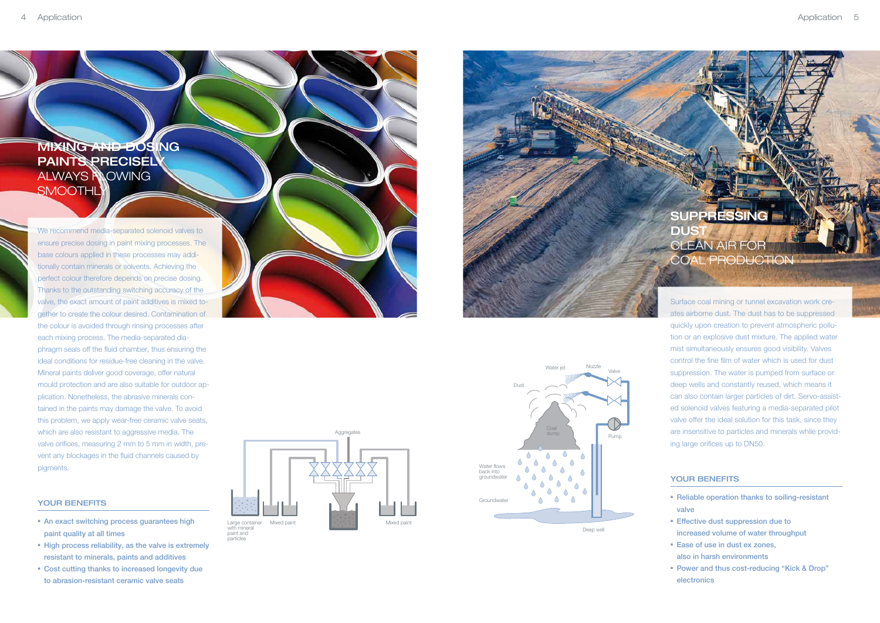## Mixing and dosing **PAINTS PRECISEL** ALWAYS **NOWING SMOOTHL**

We recommend media-separated solenoid valves to ensure precise dosing in paint mixing processes. The base colours applied in these processes may additionally contain minerals or solvents. Achieving the perfect colour therefore depends on precise dosing. Thanks to the outstanding switching accuracy of the valve, the exact amount of paint additives is mixed together to create the colour desired. Contamination of the colour is avoided through rinsing processes after each mixing process. The media-separated diaphragm seals off the fluid chamber, thus ensuring the ideal conditions for residue-free cleaning in the valve. Mineral paints deliver good coverage, offer natural mould protection and are also suitable for outdoor application. Nonetheless, the abrasive minerals contained in the paints may damage the valve. To avoid this problem, we apply wear-free ceramic valve seats, which are also resistant to aggressive media. The valve orifices, measuring 2 mm to 5 mm in width, prevent any blockages in the fluid channels caused by pigments.

### YOUR BENEFITS

- An exact switching process guarantees high paint quality at all times
- High process reliability, as the valve is extremely resistant to minerals, paints and additives
- Cost cutting thanks to increased longevity due to abrasion-resistant ceramic valve seats

## SUPPR **DUS** CLEAN AIR FOR coal production

- Reliable operation thanks to soiling-resistant valve
- Effective dust suppression due to increased volume of water throughput
- Ease of use in dust ex zones, also in harsh environments
- Power and thus cost-reducing "Kick & Drop" electronics

Surface coal mining or tunnel excavation work creates airborne dust. The dust has to be suppressed quickly upon creation to prevent atmospheric pollution or an explosive dust mixture. The applied water mist simultaneously ensures good visibility. Valves control the fine film of water which is used for dust suppression. The water is pumped from surface or deep wells and constantly reused, which means it can also contain larger particles of dirt. Servo-assisted solenoid valves featuring a media-separated pilot valve offer the ideal solution for this task, since they are insensitive to particles and minerals while providing large orifices up to DN50.

### YOUR BENEFITS









Deep well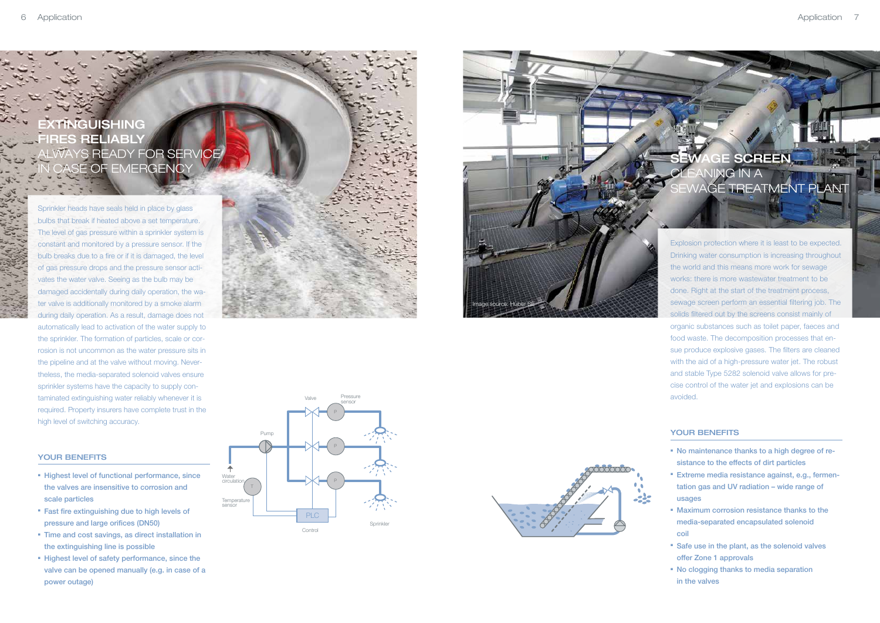Explosion protection where it is least to be expected. Drinking water consumption is increasing throughout the world and this means more work for sewage works: there is more wastewater treatment to be done. Right at the start of the treatment process, sewage screen perform an essential filtering job. The solids filtered out by the screens consist mainly of organic substances such as toilet paper, faeces and food waste. The decomposition processes that ensue produce explosive gases. The filters are cleaned with the aid of a high-pressure water jet. The robust and stable Type 5282 solenoid valve allows for precise control of the water jet and explosions can be avoided.

### YOUR BENEFITS

## **EXTINGUISHING** ES RELIABLY LWAYS READY FOR SERVICE **ISE OF EMERGENCY**

- No maintenance thanks to a high degree of resistance to the effects of dirt particles
- Extreme media resistance against, e.g., fermentation gas and UV radiation – wide range of usages
- Maximum corrosion resistance thanks to the media-separated encapsulated solenoid coil
- Safe use in the plant, as the solenoid valves offer Zone 1 approvals
- No clogging thanks to media separation in the valves



- Highest level of functional performance, since the valves are insensitive to corrosion and scale particles
- Fast fire extinguishing due to high levels of pressure and large orifices (DN50)
- **Time and cost savings, as direct installation in** the extinguishing line is possible
- Highest level of safety performance, since the valve can be opened manually (e.g. in case of a power outage)

Sprinkler heads have seals held in place by glass bulbs that break if heated above a set temperature. The level of gas pressure within a sprinkler system is constant and monitored by a pressure sensor. If the bulb breaks due to a fire or if it is damaged, the level of gas pressure drops and the pressure sensor activates the water valve. Seeing as the bulb may be damaged accidentally during daily operation, the water valve is additionally monitored by a smoke alarm during daily operation. As a result, damage does not automatically lead to activation of the water supply to the sprinkler. The formation of particles, scale or corrosion is not uncommon as the water pressure sits in the pipeline and at the valve without moving. Nevertheless, the media-separated solenoid valves ensure sprinkler systems have the capacity to supply contaminated extinguishing water reliably whenever it is required. Property insurers have complete trust in the high level of switching accuracy.

#### YOUR BENEFITS





## **AGE SCREEN** ANING IN A WAGE TREATMENT PLANT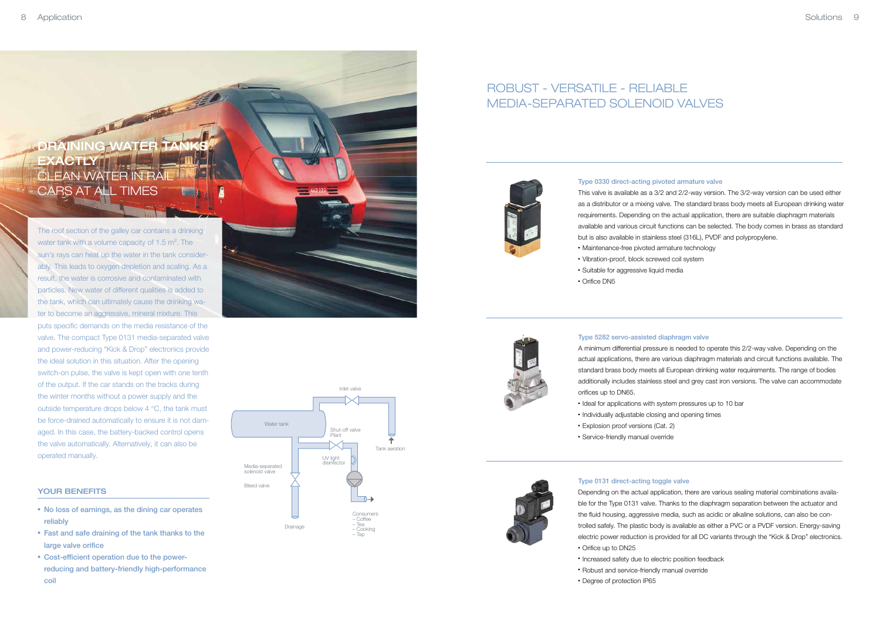

#### Type 0330 direct-acting pivoted armature valve

This valve is available as a 3/2 and 2/2-way version. The 3/2-way version can be used either as a distributor or a mixing valve. The standard brass body meets all European drinking water requirements. Depending on the actual application, there are suitable diaphragm materials available and various circuit functions can be selected. The body comes in brass as standard but is also available in stainless steel (316L), PVDF and polypropylene.

- 
- 
- 

- Ideal for applications with system pressures up to 10 bar
- Individually adjustable closing and opening times
- Explosion proof versions (Cat. 2)
- **Service-friendly manual override**



- Vibration-proof, block screwed coil system ■ Suitable for aggressive liquid media
- Orifice DN5



### Type 5282 servo-assisted diaphragm valve

A minimum differential pressure is needed to operate this 2/2-way valve. Depending on the actual applications, there are various diaphragm materials and circuit functions available. The standard brass body meets all European drinking water requirements. The range of bodies additionally includes stainless steel and grey cast iron versions. The valve can accommodate orifices up to DN65.

## ROBUST - VERSATILE - RELIABLE Media-separated solenoid valves



• Maintenance-free pivoted armature technology

## DRAINING WATER TANKS **EXACTLY** CLEAN WATER IN F cars at all times

#### Type 0131 direct-acting toggle valve

Depending on the actual application, there are various sealing material combinations available for the Type 0131 valve. Thanks to the diaphragm separation between the actuator and the fluid housing, aggressive media, such as acidic or alkaline solutions, can also be controlled safely. The plastic body is available as either a PVC or a PVDF version. Energy-saving electric power reduction is provided for all DC variants through the "Kick & Drop" electronics.

- No loss of earnings, as the dining car operates reliably
- Fast and safe draining of the tank thanks to the large valve orifice
- Cost-efficient operation due to the powerreducing and battery-friendly high-performance coil



- Orifice up to DN25
- Increased safety due to electric position feedback
- Robust and service-friendly manual override
- Degree of protection IP65

The roof section of the galley car contains a drinking water tank with a volume capacity of 1.5 m<sup>2</sup>. The sun's rays can heat up the water in the tank considerably. This leads to oxygen depletion and scaling. As a result, the water is corrosive and contaminated with particles. New water of different qualities is added to the tank, which can ultimately cause the drinking water to become an aggressive, mineral mixture. This puts specific demands on the media resistance of the valve. The compact Type 0131 media-separated valve and power-reducing "Kick & Drop" electronics provide the ideal solution in this situation. After the opening switch-on pulse, the valve is kept open with one tenth of the output. If the car stands on the tracks during the winter months without a power supply and the outside temperature drops below 4 °C, the tank must be force-drained automatically to ensure it is not damaged. In this case, the battery-backed control opens the valve automatically. Alternatively, it can also be operated manually.

#### YOUR BENEFITS